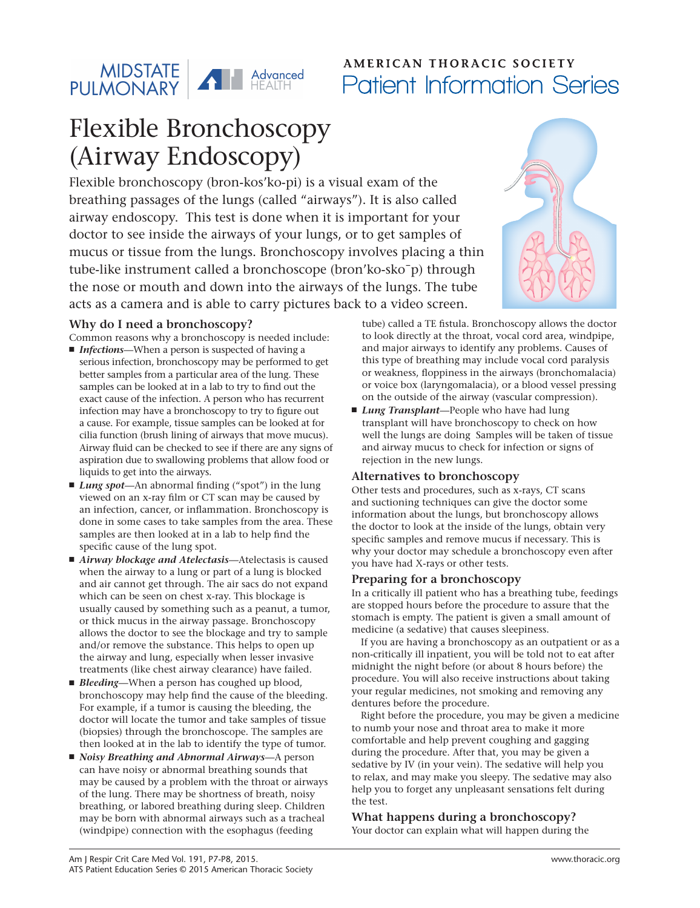

## **AMERICAN THORACIC SOCIETY** Patient Information Series

# Flexible Bronchoscopy (Airway Endoscopy)

Flexible bronchoscopy (bron-kos'ko-pi) is a visual exam of the breathing passages of the lungs (called "airways"). It is also called airway endoscopy. This test is done when it is important for your doctor to see inside the airways of your lungs, or to get samples of mucus or tissue from the lungs. Bronchoscopy involves placing a thin tube-like instrument called a bronchoscope (bron'ko-sko¯p) through the nose or mouth and down into the airways of the lungs. The tube acts as a camera and is able to carry pictures back to a video screen.

#### **Why do I need a bronchoscopy?**

Common reasons why a bronchoscopy is needed include:

- *Infections*—When a person is suspected of having a serious infection, bronchoscopy may be performed to get better samples from a particular area of the lung. These samples can be looked at in a lab to try to find out the exact cause of the infection. A person who has recurrent infection may have a bronchoscopy to try to figure out a cause. For example, tissue samples can be looked at for cilia function (brush lining of airways that move mucus). Airway fluid can be checked to see if there are any signs of aspiration due to swallowing problems that allow food or liquids to get into the airways.
- *Lung spot*—An abnormal finding ("spot") in the lung viewed on an x-ray film or CT scan may be caused by an infection, cancer, or inflammation. Bronchoscopy is done in some cases to take samples from the area. These samples are then looked at in a lab to help find the specific cause of the lung spot.
- *Airway blockage and Atelectasis*—Atelectasis is caused when the airway to a lung or part of a lung is blocked and air cannot get through. The air sacs do not expand which can be seen on chest x-ray. This blockage is usually caused by something such as a peanut, a tumor, or thick mucus in the airway passage. Bronchoscopy allows the doctor to see the blockage and try to sample and/or remove the substance. This helps to open up the airway and lung, especially when lesser invasive treatments (like chest airway clearance) have failed.
- *Bleeding*—When a person has coughed up blood, bronchoscopy may help find the cause of the bleeding. For example, if a tumor is causing the bleeding, the doctor will locate the tumor and take samples of tissue (biopsies) through the bronchoscope. The samples are then looked at in the lab to identify the type of tumor.
- *Noisy Breathing and Abnormal Airways*—A person can have noisy or abnormal breathing sounds that may be caused by a problem with the throat or airways of the lung. There may be shortness of breath, noisy breathing, or labored breathing during sleep. Children may be born with abnormal airways such as a tracheal (windpipe) connection with the esophagus (feeding

tube) called a TE fistula. Bronchoscopy allows the doctor to look directly at the throat, vocal cord area, windpipe, and major airways to identify any problems. Causes of this type of breathing may include vocal cord paralysis or weakness, floppiness in the airways (bronchomalacia) or voice box (laryngomalacia), or a blood vessel pressing on the outside of the airway (vascular compression).

■ *Lung Transplant*—People who have had lung transplant will have bronchoscopy to check on how well the lungs are doing Samples will be taken of tissue and airway mucus to check for infection or signs of rejection in the new lungs.

#### **Alternatives to bronchoscopy**

Other tests and procedures, such as x-rays, CT scans and suctioning techniques can give the doctor some information about the lungs, but bronchoscopy allows the doctor to look at the inside of the lungs, obtain very specific samples and remove mucus if necessary. This is why your doctor may schedule a bronchoscopy even after you have had X-rays or other tests.

#### **Preparing for a bronchoscopy**

In a critically ill patient who has a breathing tube, feedings are stopped hours before the procedure to assure that the stomach is empty. The patient is given a small amount of medicine (a sedative) that causes sleepiness.

If you are having a bronchoscopy as an outpatient or as a non-critically ill inpatient, you will be told not to eat after midnight the night before (or about 8 hours before) the procedure. You will also receive instructions about taking your regular medicines, not smoking and removing any dentures before the procedure.

Right before the procedure, you may be given a medicine to numb your nose and throat area to make it more comfortable and help prevent coughing and gagging during the procedure. After that, you may be given a sedative by IV (in your vein). The sedative will help you to relax, and may make you sleepy. The sedative may also help you to forget any unpleasant sensations felt during the test.

**What happens during a bronchoscopy?** Your doctor can explain what will happen during the